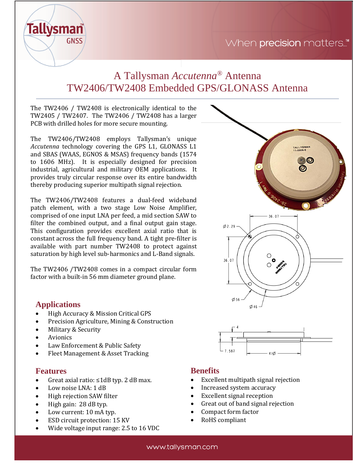

# A Tallysman *Accutenna®* Antenna TW2406/TW2408 Embedded GPS/GLONASS Antenna

The TW2406 / TW2408 is electronically identical to the TW2405 / TW2407. The TW2406 / TW2408 has a larger PCB with drilled holes for more secure mounting.

The TW2406/TW2408 employs Tallysman's unique *Accutenna* technology covering the GPS L1, GLONASS L1 and SBAS (WAAS, EGNOS & MSAS) frequency bands (1574 to 1606 MHz). It is especially designed for precision industrial, agricultural and military OEM applications. It provides truly circular response over its entire bandwidth thereby producing superior multipath signal rejection.

The TW2406/TW2408 features a dual-feed wideband patch element, with a two stage Low Noise Amplifier, comprised of one input LNA per feed, a mid section SAW to filter the combined output, and a final output gain stage. This configuration provides excellent axial ratio that is constant across the full frequency band. A tight pre-filter is available with part number TW2408 to protect against saturation by high level sub-harmonics and L-Band signals.

The TW2406 /TW2408 comes in a compact circular form factor with a built-in 56 mm diameter ground plane.

# **Applications**

- High Accuracy & Mission Critical GPS
- Precision Agriculture, Mining & Construction
- Military & Security
- **Avionics**
- Law Enforcement & Public Safety
- Fleet Management & Asset Tracking

### **Features**

- Great axial ratio: ≤1dB typ. 2 dB max.
- Low noise LNA: 1 dB
- High rejection SAW filter
- High gain: 28 dB typ.
- Low current: 10 mA typ.
- ESD circuit protection: 15 KV
- Wide voltage input range: 2.5 to 16 VDC



- **Benefits** • Excellent multipath signal rejection
- Increased system accuracy
- Excellent signal reception
- Great out of band signal rejection
- Compact form factor
- RoHS compliant